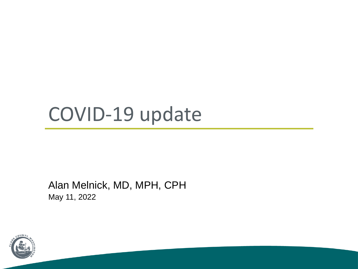## COVID-19 update

Alan Melnick, MD, MPH, CPH May 11, 2022

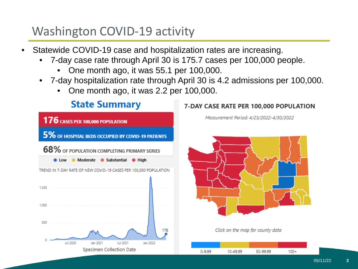#### Washington COVID-19 activity

- Statewide COVID-19 case and hospitalization rates are increasing.
	- 7-day case rate through April 30 is 175.7 cases per 100,000 people.
		- One month ago, it was 55.1 per 100,000.
	- 7-day hospitalization rate through April 30 is 4.2 admissions per 100,000.
		- One month ago, it was 2.2 per 100,000.



#### 7-DAY CASE RATE PER 100,000 POPULATION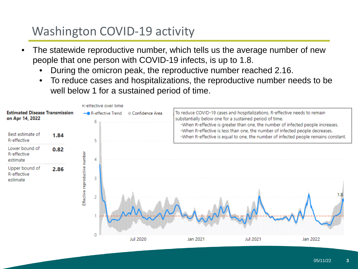#### Washington COVID-19 activity

- The statewide reproductive number, which tells us the average number of new people that one person with COVID-19 infects, is up to 1.8.
	- During the omicron peak, the reproductive number reached 2.16.
	- To reduce cases and hospitalizations, the reproductive number needs to be well below 1 for a sustained period of time.

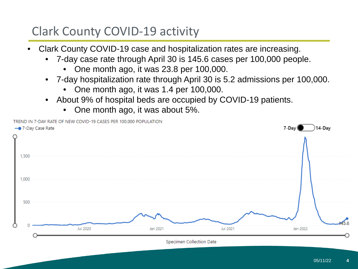#### Clark County COVID-19 activity

- Clark County COVID-19 case and hospitalization rates are increasing.
	- 7-day case rate through April 30 is 145.6 cases per 100,000 people.
		- One month ago, it was 23.8 per 100,000.
	- 7-day hospitalization rate through April 30 is 5.2 admissions per 100,000.
		- One month ago, it was 1.4 per 100,000.
	- About 9% of hospital beds are occupied by COVID-19 patients.
		- One month ago, it was about 5%.

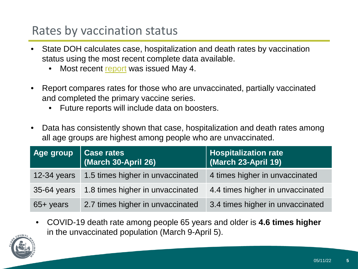#### Rates by vaccination status

- State DOH calculates case, hospitalization and death rates by vaccination status using the most recent complete data available.
	- Most recent [report](https://doh.wa.gov/sites/default/files/2022-02/421-010-CasesInNotFullyVaccinated.pdf) was issued May 4.
- Report compares rates for those who are unvaccinated, partially vaccinated and completed the primary vaccine series.
	- Future reports will include data on boosters.
- Data has consistently shown that case, hospitalization and death rates among all age groups are highest among people who are unvaccinated.

| Age group           | Case rates<br>(March 30-April 26) | <b>Hospitalization rate</b><br>$ $ (March 23-April 19) |
|---------------------|-----------------------------------|--------------------------------------------------------|
| $12-34$ years       | 1.5 times higher in unvaccinated  | 4 times higher in unvaccinated                         |
| $35-64$ years       | 1.8 times higher in unvaccinated  | 4.4 times higher in unvaccinated                       |
| $65 + \text{years}$ | 2.7 times higher in unvaccinated  | 3.4 times higher in unvaccinated                       |

• COVID-19 death rate among people 65 years and older is **4.6 times higher**  in the unvaccinated population (March 9-April 5).

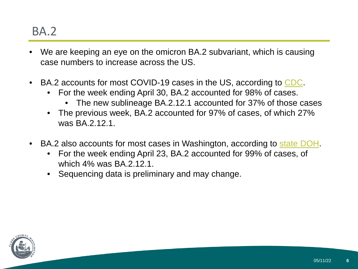#### BA.2

- We are keeping an eye on the omicron BA.2 subvariant, which is causing case numbers to increase across the US.
- BA.2 accounts for most COVID-19 cases in the US, according to [CDC](https://covid.cdc.gov/covid-data-tracker/?CDC_AA_refVal=https%3A%2F%2Fwww.cdc.gov%2Fcoronavirus%2F2019-ncov%2Fcases-updates%2Fvariant-proportions.html#variant-proportions).
	- For the week ending April 30, BA.2 accounted for 98% of cases.
		- The new sublineage BA.2.12.1 accounted for 37% of those cases
	- The previous week, BA.2 accounted for 97% of cases, of which 27% was BA 2 12 1
- BA.2 also accounts for most cases in Washington, according to [state DOH.](https://doh.wa.gov/sites/default/files/2022-02/420-316-SequencingAndVariantsReport.pdf?uid=6262f90b294c3)
	- For the week ending April 23, BA.2 accounted for 99% of cases, of which 4% was BA 2 12 1.
	- Sequencing data is preliminary and may change.

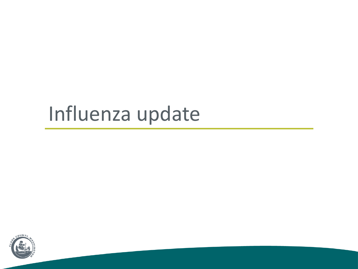# Influenza update

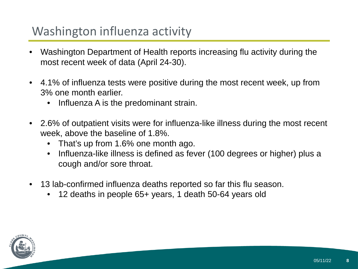#### Washington influenza activity

- Washington Department of Health reports increasing flu activity during the most recent week of data (April 24-30).
- 4.1% of influenza tests were positive during the most recent week, up from 3% one month earlier.
	- Influenza A is the predominant strain.
- 2.6% of outpatient visits were for influenza-like illness during the most recent week, above the baseline of 1.8%.
	- That's up from 1.6% one month ago.
	- Influenza-like illness is defined as fever (100 degrees or higher) plus a cough and/or sore throat.
- 13 lab-confirmed influenza deaths reported so far this flu season.
	- 12 deaths in people 65+ years, 1 death 50-64 years old